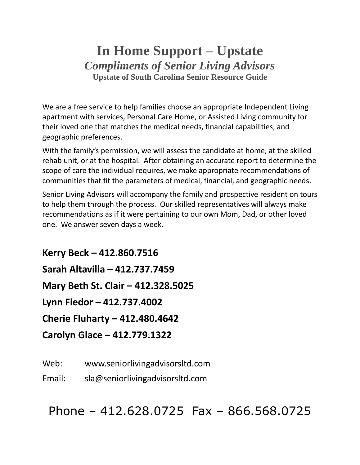# **In Home Support – Upstate** *Compliments of Senior Living Advisors* **Upstate of South Carolina Senior Resource Guide**

We are a free service to help families choose an appropriate Independent Living apartment with services, Personal Care Home, or Assisted Living community for their loved one that matches the medical needs, financial capabilities, and geographic preferences.

With the family's permission, we will assess the candidate at home, at the skilled rehab unit, or at the hospital. After obtaining an accurate report to determine the scope of care the individual requires, we make appropriate recommendations of communities that fit the parameters of medical, financial, and geographic needs.

Senior Living Advisors will accompany the family and prospective resident on tours to help them through the process. Our skilled representatives will always make recommendations as if it were pertaining to our own Mom, Dad, or other loved one. We answer seven days a week.

**Kerry Beck – 412.860.7516 Sarah Altavilla – 412.737.7459 Mary Beth St. Clair – 412.328.5025 Lynn Fiedor – 412.737.4002 Cherie Fluharty – 412.480.4642 Carolyn Glace – 412.779.1322**

Web: www.seniorlivingadvisorsltd.com

Email: sla@seniorlivingadvisorsltd.com

Phone – 412.628.0725 Fax – 866.568.0725